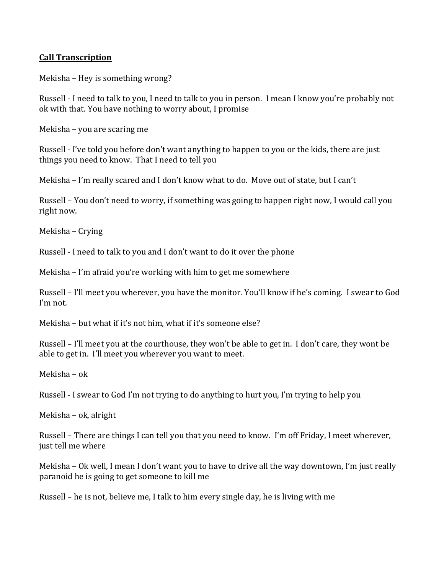## **Call Transcription**

Mekisha – Hey is something wrong?

Russell - I need to talk to you, I need to talk to you in person. I mean I know you're probably not ok with that. You have nothing to worry about, I promise

Mekisha – you are scaring me

Russell - I've told you before don't want anything to happen to you or the kids, there are just things you need to know. That I need to tell you

Mekisha – I'm really scared and I don't know what to do. Move out of state, but I can't

Russell – You don't need to worry, if something was going to happen right now, I would call you right now.

Mekisha – Crying

Russell - I need to talk to you and I don't want to do it over the phone

Mekisha – I'm afraid you're working with him to get me somewhere

Russell – I'll meet you wherever, you have the monitor. You'll know if he's coming. I swear to God I'm not.

Mekisha – but what if it's not him, what if it's someone else?

Russell – I'll meet you at the courthouse, they won't be able to get in. I don't care, they wont be able to get in. I'll meet you wherever you want to meet.

Mekisha – ok

Russell - I swear to God I'm not trying to do anything to hurt you, I'm trying to help you

Mekisha – ok, alright

Russell – There are things I can tell you that you need to know. I'm off Friday, I meet wherever, just tell me where

Mekisha – Ok well, I mean I don't want you to have to drive all the way downtown, I'm just really paranoid he is going to get someone to kill me

Russell – he is not, believe me, I talk to him every single day, he is living with me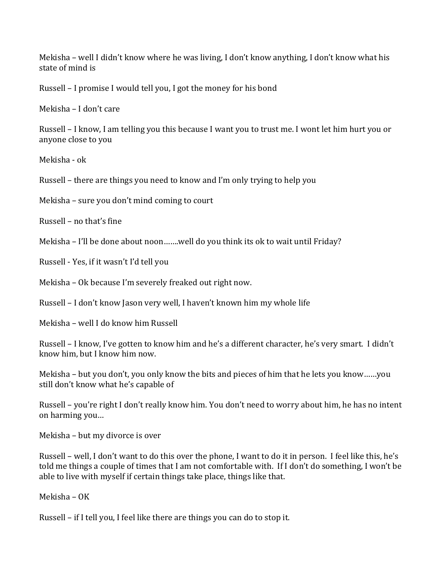Mekisha – well I didn't know where he was living, I don't know anything, I don't know what his state of mind is

Russell – I promise I would tell you, I got the money for his bond

Mekisha – I don't care

Russell – I know, I am telling you this because I want you to trust me. I wont let him hurt you or anyone close to you

Mekisha - ok

Russell – there are things you need to know and I'm only trying to help you

Mekisha – sure you don't mind coming to court

Russell – no that's fine

Mekisha – I'll be done about noon…….well do you think its ok to wait until Friday?

Russell - Yes, if it wasn't I'd tell you

Mekisha – Ok because I'm severely freaked out right now.

Russell – I don't know Jason very well, I haven't known him my whole life

Mekisha – well I do know him Russell

Russell – I know, I've gotten to know him and he's a different character, he's very smart. I didn't know him, but I know him now.

Mekisha – but you don't, you only know the bits and pieces of him that he lets you know……you still don't know what he's capable of

Russell – you're right I don't really know him. You don't need to worry about him, he has no intent on harming you…

Mekisha – but my divorce is over

Russell – well, I don't want to do this over the phone, I want to do it in person. I feel like this, he's told me things a couple of times that I am not comfortable with. If I don't do something, I won't be able to live with myself if certain things take place, things like that.

Mekisha – OK

Russell – if I tell you, I feel like there are things you can do to stop it.